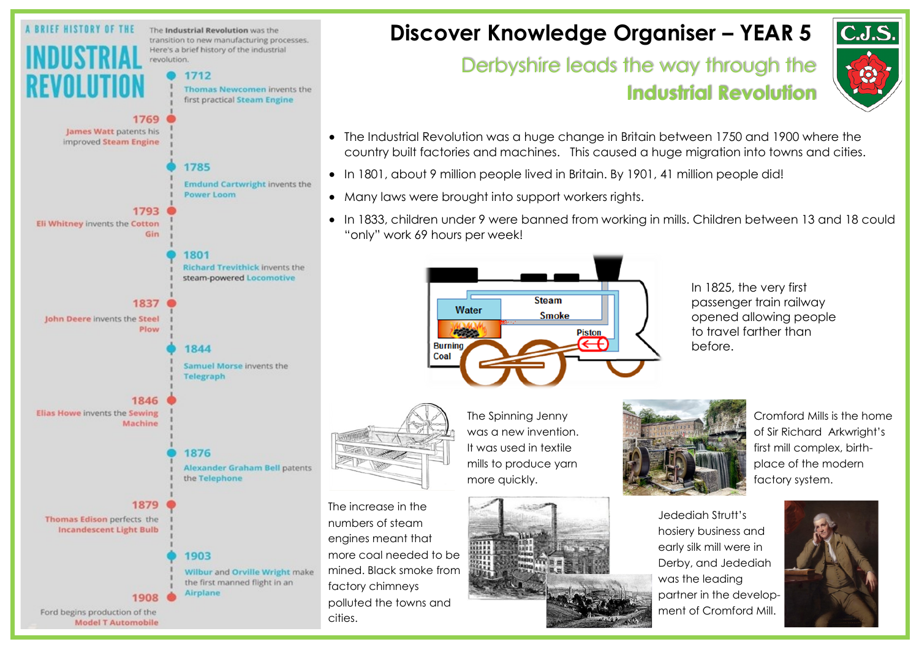

## **Discover Knowledge Organiser – YEAR 5**

## Derbyshire leads the way through the **Industrial Revolution**



- The Industrial Revolution was a huge change in Britain between 1750 and 1900 where the country built factories and machines. This caused a huge migration into towns and cities.
- In 1801, about 9 million people lived in Britain. By 1901, 41 million people did!
- Many laws were brought into support workers rights.
- In 1833, children under 9 were banned from working in mills. Children between 13 and 18 could "only" work 69 hours per week!



In 1825, the very first passenger train railway opened allowing people to travel farther than before.



The increase in the numbers of steam engines meant that more coal needed to be mined. Black smoke from factory chimneys polluted the towns and cities.

The Spinning Jenny was a new invention. It was used in textile mills to produce yarn more quickly.



Cromford Mills is the home of Sir Richard Arkwright's first mill complex, birthplace of the modern factory system.

Jedediah Strutt's hosiery business and early silk mill were in Derby, and Jedediah was the leading partner in the development of Cromford Mill.